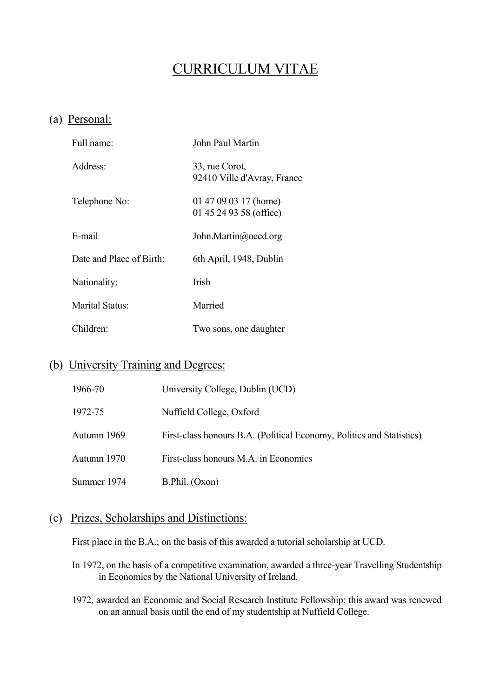# CURRICULUM VITAE

### (a) Personal:

| Full name:                  | John Paul Martin                                 |
|-----------------------------|--------------------------------------------------|
| Address:                    | 33, rue Corot,<br>92410 Ville d'Avray, France    |
| Telephone No:               | 01 47 09 03 17 (home)<br>01 45 24 93 58 (office) |
| E-mail                      | John.Martin@oecd.org                             |
| Date and Place of Birth:    | 6th April, 1948, Dublin                          |
| Nationality:                | <b>Irish</b>                                     |
| Marital Status <sup>.</sup> | Married                                          |
| Children:                   | Two sons, one daughter                           |

# (b) University Training and Degrees:

| 1966-70     | University College, Dublin (UCD)                                      |
|-------------|-----------------------------------------------------------------------|
| 1972-75     | Nuffield College, Oxford                                              |
| Autumn 1969 | First-class honours B.A. (Political Economy, Politics and Statistics) |
| Autumn 1970 | First-class honours M.A. in Economics                                 |
| Summer 1974 | B.Phil. (Oxon)                                                        |

### (c) Prizes, Scholarships and Distinctions:

First place in the B.A.; on the basis of this awarded a tutorial scholarship at UCD.

- In 1972, on the basis of a competitive examination, awarded a three-year Travelling Studentship in Economics by the National University of Ireland.
- 1972, awarded an Economic and Social Research Institute Fellowship; this award was renewed on an annual basis until the end of my studentship at Nuffield College.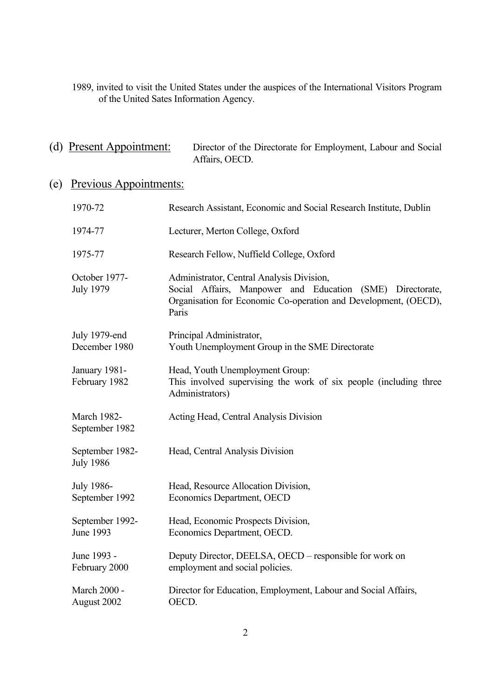1989, invited to visit the United States under the auspices of the International Visitors Program of the United Sates Information Agency.

### (d) Present Appointment: Director of the Directorate for Employment, Labour and Social Affairs, OECD.

# (e) Previous Appointments:

| 1970-72                              | Research Assistant, Economic and Social Research Institute, Dublin                                                                                                                 |
|--------------------------------------|------------------------------------------------------------------------------------------------------------------------------------------------------------------------------------|
| 1974-77                              | Lecturer, Merton College, Oxford                                                                                                                                                   |
| 1975-77                              | Research Fellow, Nuffield College, Oxford                                                                                                                                          |
| October 1977-<br><b>July 1979</b>    | Administrator, Central Analysis Division,<br>Social Affairs, Manpower and Education (SME) Directorate,<br>Organisation for Economic Co-operation and Development, (OECD),<br>Paris |
| July 1979-end<br>December 1980       | Principal Administrator,<br>Youth Unemployment Group in the SME Directorate                                                                                                        |
| January 1981-<br>February 1982       | Head, Youth Unemployment Group:<br>This involved supervising the work of six people (including three<br>Administrators)                                                            |
| <b>March 1982-</b><br>September 1982 | Acting Head, Central Analysis Division                                                                                                                                             |
| September 1982-<br><b>July 1986</b>  | Head, Central Analysis Division                                                                                                                                                    |
| July 1986-<br>September 1992         | Head, Resource Allocation Division,<br>Economics Department, OECD                                                                                                                  |
| September 1992-<br>June 1993         | Head, Economic Prospects Division,<br>Economics Department, OECD.                                                                                                                  |
| June 1993 -<br>February 2000         | Deputy Director, DEELSA, OECD – responsible for work on<br>employment and social policies.                                                                                         |
| March 2000 -<br>August 2002          | Director for Education, Employment, Labour and Social Affairs,<br>OECD.                                                                                                            |
|                                      |                                                                                                                                                                                    |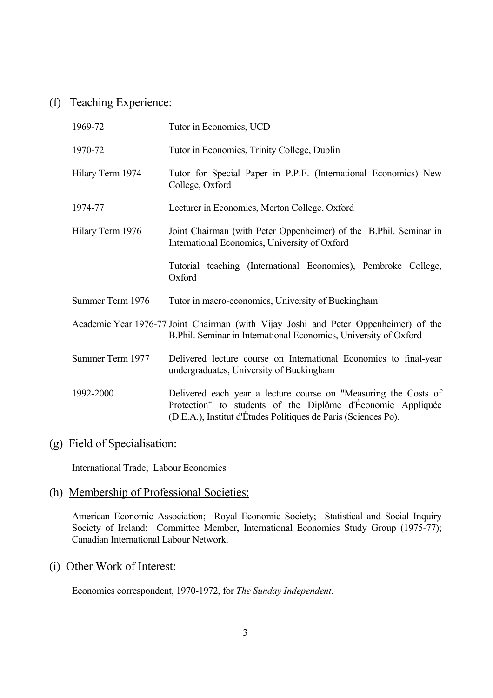# (f) Teaching Experience:

| 1969-72                                                                                                                                                  | Tutor in Economics, UCD                                                                                                                                                                          |
|----------------------------------------------------------------------------------------------------------------------------------------------------------|--------------------------------------------------------------------------------------------------------------------------------------------------------------------------------------------------|
| 1970-72                                                                                                                                                  | Tutor in Economics, Trinity College, Dublin                                                                                                                                                      |
| Hilary Term 1974                                                                                                                                         | Tutor for Special Paper in P.P.E. (International Economics) New<br>College, Oxford                                                                                                               |
| 1974-77                                                                                                                                                  | Lecturer in Economics, Merton College, Oxford                                                                                                                                                    |
| Hilary Term 1976                                                                                                                                         | Joint Chairman (with Peter Oppenheimer) of the B.Phil. Seminar in<br>International Economics, University of Oxford                                                                               |
|                                                                                                                                                          | Tutorial teaching (International Economics), Pembroke College,<br>Oxford                                                                                                                         |
| Summer Term 1976                                                                                                                                         | Tutor in macro-economics, University of Buckingham                                                                                                                                               |
| Academic Year 1976-77 Joint Chairman (with Vijay Joshi and Peter Oppenheimer) of the<br>B.Phil. Seminar in International Economics, University of Oxford |                                                                                                                                                                                                  |
| Summer Term 1977                                                                                                                                         | Delivered lecture course on International Economics to final-year<br>undergraduates, University of Buckingham                                                                                    |
| 1992-2000                                                                                                                                                | Delivered each year a lecture course on "Measuring the Costs of<br>Protection" to students of the Diplôme d'Économie Appliquée<br>(D.E.A.), Institut d'Études Politiques de Paris (Sciences Po). |

### (g) Field of Specialisation:

International Trade; Labour Economics

# (h) Membership of Professional Societies:

 American Economic Association; Royal Economic Society; Statistical and Social Inquiry Society of Ireland; Committee Member, International Economics Study Group (1975-77); Canadian International Labour Network.

### (i) Other Work of Interest:

Economics correspondent, 1970-1972, for *The Sunday Independent*.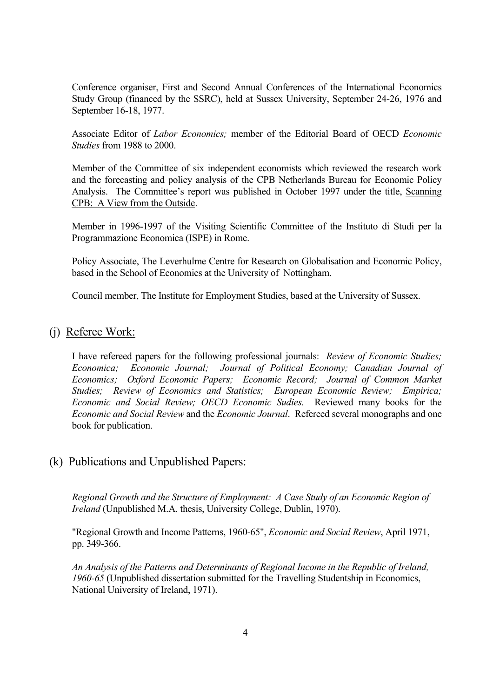Conference organiser, First and Second Annual Conferences of the International Economics Study Group (financed by the SSRC), held at Sussex University, September 24-26, 1976 and September 16-18, 1977.

Associate Editor of *Labor Economics;* member of the Editorial Board of OECD *Economic Studies* from 1988 to 2000.

 Member of the Committee of six independent economists which reviewed the research work and the forecasting and policy analysis of the CPB Netherlands Bureau for Economic Policy Analysis. The Committee's report was published in October 1997 under the title, Scanning CPB: A View from the Outside.

 Member in 1996-1997 of the Visiting Scientific Committee of the Instituto di Studi per la Programmazione Economica (ISPE) in Rome.

 Policy Associate, The Leverhulme Centre for Research on Globalisation and Economic Policy, based in the School of Economics at the University of Nottingham.

Council member, The Institute for Employment Studies, based at the University of Sussex.

### (j) Referee Work:

 I have refereed papers for the following professional journals: *Review of Economic Studies; Economica; Economic Journal; Journal of Political Economy; Canadian Journal of Economics; Oxford Economic Papers; Economic Record; Journal of Common Market Studies; Review of Economics and Statistics; European Economic Review; Empirica; Economic and Social Review; OECD Economic Sudies.* Reviewed many books for the *Economic and Social Review* and the *Economic Journal*. Refereed several monographs and one book for publication.

### (k) Publications and Unpublished Papers:

*Regional Growth and the Structure of Employment: A Case Study of an Economic Region of Ireland* (Unpublished M.A. thesis, University College, Dublin, 1970).

"Regional Growth and Income Patterns, 1960-65", *Economic and Social Review*, April 1971, pp. 349-366.

*An Analysis of the Patterns and Determinants of Regional Income in the Republic of Ireland, 1960-65* (Unpublished dissertation submitted for the Travelling Studentship in Economics, National University of Ireland, 1971).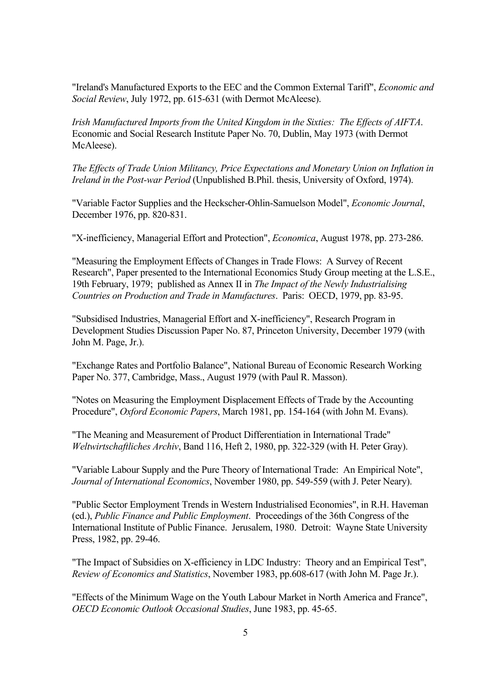"Ireland's Manufactured Exports to the EEC and the Common External Tariff", *Economic and Social Review*, July 1972, pp. 615-631 (with Dermot McAleese).

*Irish Manufactured Imports from the United Kingdom in the Sixties: The Effects of AIFTA*. Economic and Social Research Institute Paper No. 70, Dublin, May 1973 (with Dermot McAleese).

*The Effects of Trade Union Militancy, Price Expectations and Monetary Union on Inflation in Ireland in the Post-war Period* (Unpublished B.Phil. thesis, University of Oxford, 1974).

"Variable Factor Supplies and the Heckscher-Ohlin-Samuelson Model", *Economic Journal*, December 1976, pp. 820-831.

"X-inefficiency, Managerial Effort and Protection", *Economica*, August 1978, pp. 273-286.

"Measuring the Employment Effects of Changes in Trade Flows: A Survey of Recent Research", Paper presented to the International Economics Study Group meeting at the L.S.E., 19th February, 1979; published as Annex II in *The Impact of the Newly Industrialising Countries on Production and Trade in Manufactures*. Paris: OECD, 1979, pp. 83-95.

"Subsidised Industries, Managerial Effort and X-inefficiency", Research Program in Development Studies Discussion Paper No. 87, Princeton University, December 1979 (with John M. Page, Jr.).

"Exchange Rates and Portfolio Balance", National Bureau of Economic Research Working Paper No. 377, Cambridge, Mass., August 1979 (with Paul R. Masson).

"Notes on Measuring the Employment Displacement Effects of Trade by the Accounting Procedure", *Oxford Economic Papers*, March 1981, pp. 154-164 (with John M. Evans).

"The Meaning and Measurement of Product Differentiation in International Trade" *Weltwirtschaftliches Archiv*, Band 116, Heft 2, 1980, pp. 322-329 (with H. Peter Gray).

"Variable Labour Supply and the Pure Theory of International Trade: An Empirical Note", *Journal of International Economics*, November 1980, pp. 549-559 (with J. Peter Neary).

"Public Sector Employment Trends in Western Industrialised Economies", in R.H. Haveman (ed.), *Public Finance and Public Employment*. Proceedings of the 36th Congress of the International Institute of Public Finance. Jerusalem, 1980. Detroit: Wayne State University Press, 1982, pp. 29-46.

"The Impact of Subsidies on X-efficiency in LDC Industry: Theory and an Empirical Test", *Review of Economics and Statistics*, November 1983, pp.608-617 (with John M. Page Jr.).

"Effects of the Minimum Wage on the Youth Labour Market in North America and France", *OECD Economic Outlook Occasional Studies*, June 1983, pp. 45-65.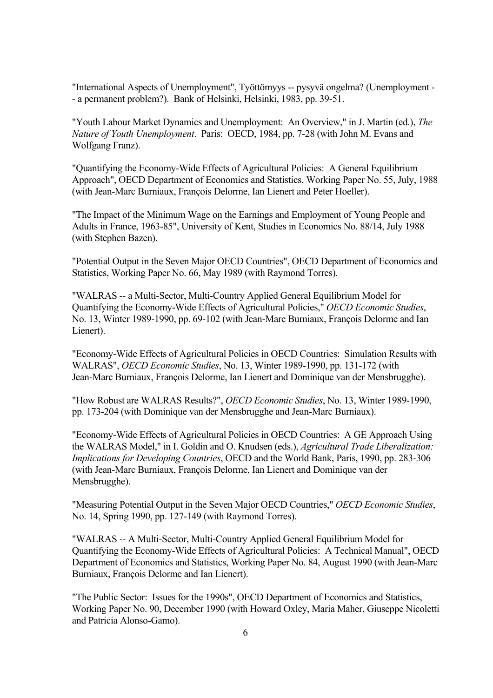"International Aspects of Unemployment", Työttömyys -- pysyvä ongelma? (Unemployment - - a permanent problem?). Bank of Helsinki, Helsinki, 1983, pp. 39-51.

"Youth Labour Market Dynamics and Unemployment: An Overview," in J. Martin (ed.), *The Nature of Youth Unemployment*. Paris: OECD, 1984, pp. 7-28 (with John M. Evans and Wolfgang Franz).

"Quantifying the Economy-Wide Effects of Agricultural Policies: A General Equilibrium Approach", OECD Department of Economics and Statistics, Working Paper No. 55, July, 1988 (with Jean-Marc Burniaux, François Delorme, Ian Lienert and Peter Hoeller).

"The Impact of the Minimum Wage on the Earnings and Employment of Young People and Adults in France, 1963-85", University of Kent, Studies in Economics No. 88/14, July 1988 (with Stephen Bazen).

"Potential Output in the Seven Major OECD Countries", OECD Department of Economics and Statistics, Working Paper No. 66, May 1989 (with Raymond Torres).

"WALRAS -- a Multi-Sector, Multi-Country Applied General Equilibrium Model for Quantifying the Economy-Wide Effects of Agricultural Policies," *OECD Economic Studies*, No. 13, Winter 1989-1990, pp. 69-102 (with Jean-Marc Burniaux, François Delorme and Ian Lienert).

"Economy-Wide Effects of Agricultural Policies in OECD Countries: Simulation Results with WALRAS", *OECD Economic Studies*, No. 13, Winter 1989-1990, pp. 131-172 (with Jean-Marc Burniaux, François Delorme, Ian Lienert and Dominique van der Mensbrugghe).

"How Robust are WALRAS Results?", *OECD Economic Studies*, No. 13, Winter 1989-1990, pp. 173-204 (with Dominique van der Mensbrugghe and Jean-Marc Burniaux).

"Economy-Wide Effects of Agricultural Policies in OECD Countries: A GE Approach Using the WALRAS Model," in I. Goldin and O. Knudsen (eds.), *Agricultural Trade Liberalization: Implications for Developing Countries*, OECD and the World Bank, Paris, 1990, pp. 283-306 (with Jean-Marc Burniaux, François Delorme, Ian Lienert and Dominique van der Mensbrugghe).

"Measuring Potential Output in the Seven Major OECD Countries," *OECD Economic Studies*, No. 14, Spring 1990, pp. 127-149 (with Raymond Torres).

"WALRAS -- A Multi-Sector, Multi-Country Applied General Equilibrium Model for Quantifying the Economy-Wide Effects of Agricultural Policies: A Technical Manual", OECD Department of Economics and Statistics, Working Paper No. 84, August 1990 (with Jean-Marc Burniaux, François Delorme and Ian Lienert).

"The Public Sector: Issues for the 1990s", OECD Department of Economics and Statistics, Working Paper No. 90, December 1990 (with Howard Oxley, Maria Maher, Giuseppe Nicoletti and Patricia Alonso-Gamo).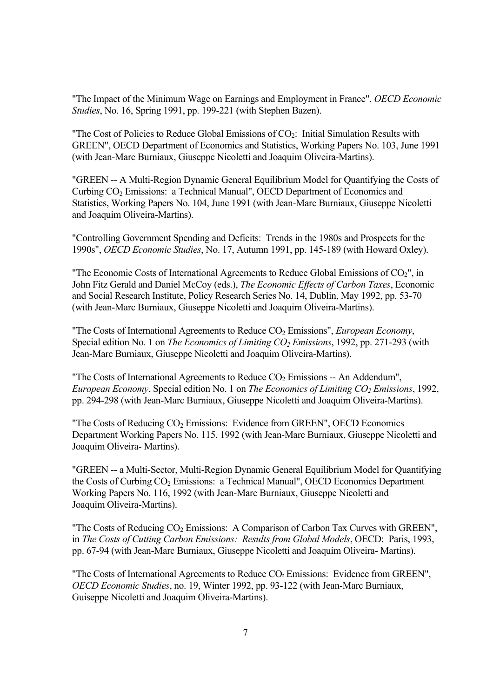"The Impact of the Minimum Wage on Earnings and Employment in France", *OECD Economic Studies*, No. 16, Spring 1991, pp. 199-221 (with Stephen Bazen).

"The Cost of Policies to Reduce Global Emissions of  $CO<sub>2</sub>$ : Initial Simulation Results with GREEN", OECD Department of Economics and Statistics, Working Papers No. 103, June 1991 (with Jean-Marc Burniaux, Giuseppe Nicoletti and Joaquim Oliveira-Martins).

"GREEN -- A Multi-Region Dynamic General Equilibrium Model for Quantifying the Costs of Curbing CO<sub>2</sub> Emissions: a Technical Manual", OECD Department of Economics and Statistics, Working Papers No. 104, June 1991 (with Jean-Marc Burniaux, Giuseppe Nicoletti and Joaquim Oliveira-Martins).

"Controlling Government Spending and Deficits: Trends in the 1980s and Prospects for the 1990s", *OECD Economic Studies*, No. 17, Autumn 1991, pp. 145-189 (with Howard Oxley).

"The Economic Costs of International Agreements to Reduce Global Emissions of  $CO<sub>2</sub>$ ", in John Fitz Gerald and Daniel McCoy (eds.), *The Economic Effects of Carbon Taxes*, Economic and Social Research Institute, Policy Research Series No. 14, Dublin, May 1992, pp. 53-70 (with Jean-Marc Burniaux, Giuseppe Nicoletti and Joaquim Oliveira-Martins).

"The Costs of International Agreements to Reduce CO2 Emissions", *European Economy*, Special edition No. 1 on *The Economics of Limiting CO<sub>2</sub> Emissions*, 1992, pp. 271-293 (with Jean-Marc Burniaux, Giuseppe Nicoletti and Joaquim Oliveira-Martins).

"The Costs of International Agreements to Reduce  $CO<sub>2</sub>$  Emissions -- An Addendum", *European Economy*, Special edition No. 1 on *The Economics of Limiting CO<sub>2</sub> Emissions*, 1992, pp. 294-298 (with Jean-Marc Burniaux, Giuseppe Nicoletti and Joaquim Oliveira-Martins).

"The Costs of Reducing  $CO<sub>2</sub>$  Emissions: Evidence from GREEN", OECD Economics Department Working Papers No. 115, 1992 (with Jean-Marc Burniaux, Giuseppe Nicoletti and Joaquim Oliveira- Martins).

"GREEN -- a Multi-Sector, Multi-Region Dynamic General Equilibrium Model for Quantifying the Costs of Curbing CO<sub>2</sub> Emissions: a Technical Manual", OECD Economics Department Working Papers No. 116, 1992 (with Jean-Marc Burniaux, Giuseppe Nicoletti and Joaquim Oliveira-Martins).

"The Costs of Reducing  $CO<sub>2</sub>$  Emissions: A Comparison of Carbon Tax Curves with GREEN", in *The Costs of Cutting Carbon Emissions: Results from Global Models*, OECD: Paris, 1993, pp. 67-94 (with Jean-Marc Burniaux, Giuseppe Nicoletti and Joaquim Oliveira- Martins).

"The Costs of International Agreements to Reduce CO² Emissions: Evidence from GREEN", *OECD Economic Studies*, no. 19, Winter 1992, pp. 93-122 (with Jean-Marc Burniaux, Guiseppe Nicoletti and Joaquim Oliveira-Martins).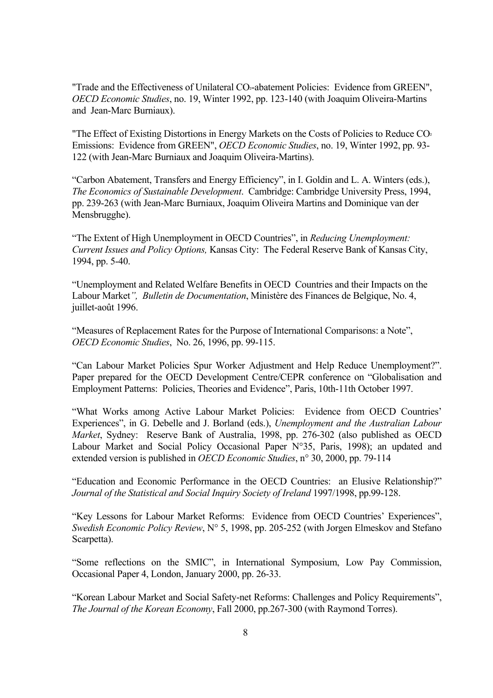"Trade and the Effectiveness of Unilateral CO²-abatement Policies: Evidence from GREEN", *OECD Economic Studies*, no. 19, Winter 1992, pp. 123-140 (with Joaquim Oliveira-Martins and Jean-Marc Burniaux).

"The Effect of Existing Distortions in Energy Markets on the Costs of Policies to Reduce CO<sup>2</sup> Emissions: Evidence from GREEN", *OECD Economic Studies*, no. 19, Winter 1992, pp. 93- 122 (with Jean-Marc Burniaux and Joaquim Oliveira-Martins).

"Carbon Abatement, Transfers and Energy Efficiency", in I. Goldin and L. A. Winters (eds.), *The Economics of Sustainable Development*. Cambridge: Cambridge University Press, 1994, pp. 239-263 (with Jean-Marc Burniaux, Joaquim Oliveira Martins and Dominique van der Mensbrugghe).

"The Extent of High Unemployment in OECD Countries", in *Reducing Unemployment: Current Issues and Policy Options,* Kansas City: The Federal Reserve Bank of Kansas City, 1994, pp. 5-40.

"Unemployment and Related Welfare Benefits in OECD Countries and their Impacts on the Labour Market*", Bulletin de Documentation*, Ministère des Finances de Belgique, No. 4, juillet-août 1996.

"Measures of Replacement Rates for the Purpose of International Comparisons: a Note", *OECD Economic Studies*, No. 26, 1996, pp. 99-115.

"Can Labour Market Policies Spur Worker Adjustment and Help Reduce Unemployment?". Paper prepared for the OECD Development Centre/CEPR conference on "Globalisation and Employment Patterns: Policies, Theories and Evidence", Paris, 10th-11th October 1997.

"What Works among Active Labour Market Policies: Evidence from OECD Countries' Experiences", in G. Debelle and J. Borland (eds.), *Unemployment and the Australian Labour Market*, Sydney: Reserve Bank of Australia, 1998, pp. 276-302 (also published as OECD Labour Market and Social Policy Occasional Paper N°35, Paris, 1998); an updated and extended version is published in *OECD Economic Studies*, n° 30, 2000, pp. 79-114

"Education and Economic Performance in the OECD Countries: an Elusive Relationship?" *Journal of the Statistical and Social Inquiry Society of Ireland* 1997/1998, pp.99-128.

"Key Lessons for Labour Market Reforms: Evidence from OECD Countries' Experiences", *Swedish Economic Policy Review*, N° 5, 1998, pp. 205-252 (with Jorgen Elmeskov and Stefano Scarpetta).

"Some reflections on the SMIC", in International Symposium, Low Pay Commission, Occasional Paper 4, London, January 2000, pp. 26-33.

"Korean Labour Market and Social Safety-net Reforms: Challenges and Policy Requirements", *The Journal of the Korean Economy*, Fall 2000, pp.267-300 (with Raymond Torres).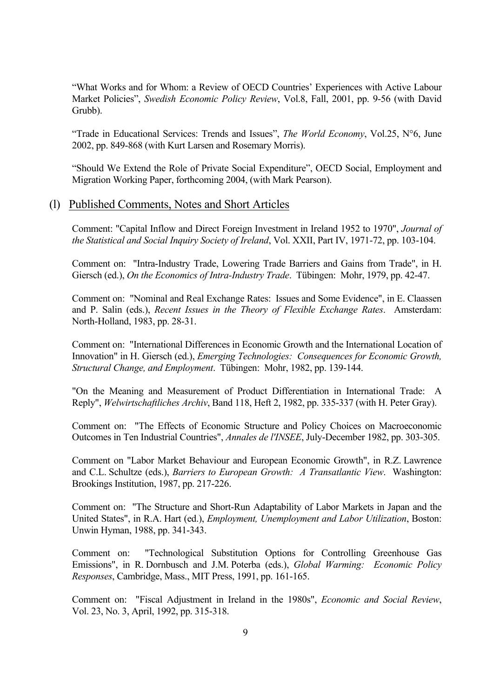"What Works and for Whom: a Review of OECD Countries' Experiences with Active Labour Market Policies", *Swedish Economic Policy Review*, Vol.8, Fall, 2001, pp. 9-56 (with David Grubb).

"Trade in Educational Services: Trends and Issues", *The World Economy*, Vol.25, N°6, June 2002, pp. 849-868 (with Kurt Larsen and Rosemary Morris).

"Should We Extend the Role of Private Social Expenditure", OECD Social, Employment and Migration Working Paper, forthcoming 2004, (with Mark Pearson).

#### (l) Published Comments, Notes and Short Articles

Comment: "Capital Inflow and Direct Foreign Investment in Ireland 1952 to 1970", *Journal of the Statistical and Social Inquiry Society of Ireland*, Vol. XXII, Part IV, 1971-72, pp. 103-104.

Comment on: "Intra-Industry Trade, Lowering Trade Barriers and Gains from Trade", in H. Giersch (ed.), *On the Economics of Intra-Industry Trade*. Tübingen: Mohr, 1979, pp. 42-47.

Comment on: "Nominal and Real Exchange Rates: Issues and Some Evidence", in E. Claassen and P. Salin (eds.), *Recent Issues in the Theory of Flexible Exchange Rates*. Amsterdam: North-Holland, 1983, pp. 28-31.

Comment on: "International Differences in Economic Growth and the International Location of Innovation" in H. Giersch (ed.), *Emerging Technologies: Consequences for Economic Growth, Structural Change, and Employment*. Tübingen: Mohr, 1982, pp. 139-144.

"On the Meaning and Measurement of Product Differentiation in International Trade: A Reply", *Welwirtschaftliches Archiv*, Band 118, Heft 2, 1982, pp. 335-337 (with H. Peter Gray).

Comment on: "The Effects of Economic Structure and Policy Choices on Macroeconomic Outcomes in Ten Industrial Countries", *Annales de l'INSEE*, July-December 1982, pp. 303-305.

Comment on "Labor Market Behaviour and European Economic Growth", in R.Z. Lawrence and C.L. Schultze (eds.), *Barriers to European Growth: A Transatlantic View*. Washington: Brookings Institution, 1987, pp. 217-226.

Comment on: "The Structure and Short-Run Adaptability of Labor Markets in Japan and the United States", in R.A. Hart (ed.), *Employment, Unemployment and Labor Utilization*, Boston: Unwin Hyman, 1988, pp. 341-343.

Comment on: "Technological Substitution Options for Controlling Greenhouse Gas Emissions", in R. Dornbusch and J.M. Poterba (eds.), *Global Warming: Economic Policy Responses*, Cambridge, Mass., MIT Press, 1991, pp. 161-165.

Comment on: "Fiscal Adjustment in Ireland in the 1980s", *Economic and Social Review*, Vol. 23, No. 3, April, 1992, pp. 315-318.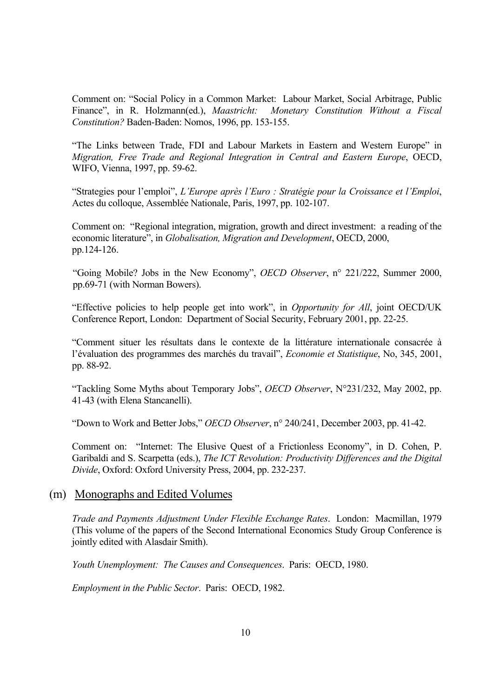Comment on: "Social Policy in a Common Market: Labour Market, Social Arbitrage, Public Finance", in R. Holzmann(ed.), *Maastricht: Monetary Constitution Without a Fiscal Constitution?* Baden-Baden: Nomos, 1996, pp. 153-155.

"The Links between Trade, FDI and Labour Markets in Eastern and Western Europe" in *Migration, Free Trade and Regional Integration in Central and Eastern Europe*, OECD, WIFO, Vienna, 1997, pp. 59-62.

"Strategies pour l'emploi", *L'Europe après l'Euro : Stratégie pour la Croissance et l'Emploi*, Actes du colloque, Assemblée Nationale, Paris, 1997, pp. 102-107.

Comment on: "Regional integration, migration, growth and direct investment: a reading of the economic literature", in *Globalisation, Migration and Development*, OECD, 2000, pp.124-126.

"Going Mobile? Jobs in the New Economy", *OECD Observer*, n° 221/222, Summer 2000, pp.69-71 (with Norman Bowers).

"Effective policies to help people get into work", in *Opportunity for All*, joint OECD/UK Conference Report, London: Department of Social Security, February 2001, pp. 22-25.

"Comment situer les résultats dans le contexte de la littérature internationale consacrée à l'évaluation des programmes des marchés du travail", *Economie et Statistique*, No, 345, 2001, pp. 88-92.

"Tackling Some Myths about Temporary Jobs", *OECD Observer*, N°231/232, May 2002, pp. 41-43 (with Elena Stancanelli).

"Down to Work and Better Jobs," *OECD Observer*, n° 240/241, December 2003, pp. 41-42.

Comment on: "Internet: The Elusive Quest of a Frictionless Economy", in D. Cohen, P. Garibaldi and S. Scarpetta (eds.), *The ICT Revolution: Productivity Differences and the Digital Divide*, Oxford: Oxford University Press, 2004, pp. 232-237.

#### (m) Monographs and Edited Volumes

*Trade and Payments Adjustment Under Flexible Exchange Rates*. London: Macmillan, 1979 (This volume of the papers of the Second International Economics Study Group Conference is jointly edited with Alasdair Smith).

*Youth Unemployment: The Causes and Consequences*. Paris: OECD, 1980.

*Employment in the Public Sector*. Paris: OECD, 1982.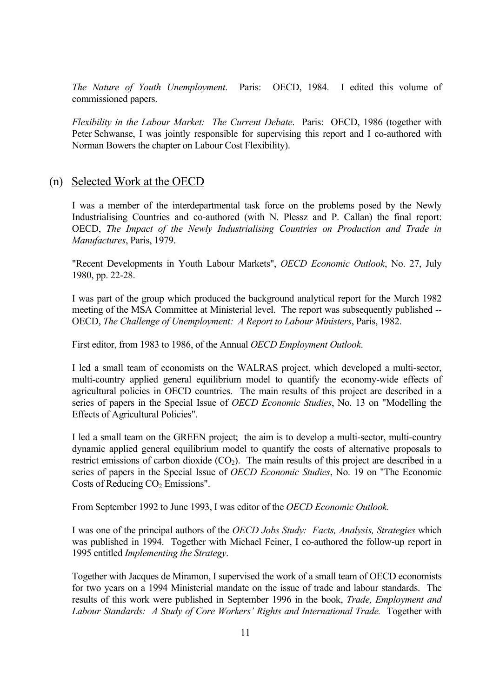*The Nature of Youth Unemployment*. Paris: OECD, 1984. I edited this volume of commissioned papers.

*Flexibility in the Labour Market: The Current Debate*. Paris: OECD, 1986 (together with Peter Schwanse, I was jointly responsible for supervising this report and I co-authored with Norman Bowers the chapter on Labour Cost Flexibility).

#### (n) Selected Work at the OECD

I was a member of the interdepartmental task force on the problems posed by the Newly Industrialising Countries and co-authored (with N. Plessz and P. Callan) the final report: OECD, *The Impact of the Newly Industrialising Countries on Production and Trade in Manufactures*, Paris, 1979.

"Recent Developments in Youth Labour Markets", *OECD Economic Outlook*, No. 27, July 1980, pp. 22-28.

I was part of the group which produced the background analytical report for the March 1982 meeting of the MSA Committee at Ministerial level. The report was subsequently published -- OECD, *The Challenge of Unemployment: A Report to Labour Ministers*, Paris, 1982.

First editor, from 1983 to 1986, of the Annual *OECD Employment Outlook*.

I led a small team of economists on the WALRAS project, which developed a multi-sector, multi-country applied general equilibrium model to quantify the economy-wide effects of agricultural policies in OECD countries. The main results of this project are described in a series of papers in the Special Issue of *OECD Economic Studies*, No. 13 on "Modelling the Effects of Agricultural Policies".

I led a small team on the GREEN project; the aim is to develop a multi-sector, multi-country dynamic applied general equilibrium model to quantify the costs of alternative proposals to restrict emissions of carbon dioxide  $(CO_2)$ . The main results of this project are described in a series of papers in the Special Issue of *OECD Economic Studies*, No. 19 on "The Economic Costs of Reducing  $CO<sub>2</sub>$  Emissions".

From September 1992 to June 1993, I was editor of the *OECD Economic Outlook.* 

I was one of the principal authors of the *OECD Jobs Study: Facts, Analysis, Strategies* which was published in 1994. Together with Michael Feiner, I co-authored the follow-up report in 1995 entitled *Implementing the Strategy*.

Together with Jacques de Miramon, I supervised the work of a small team of OECD economists for two years on a 1994 Ministerial mandate on the issue of trade and labour standards. The results of this work were published in September 1996 in the book, *Trade, Employment and*  Labour Standards: A Study of Core Workers' Rights and International Trade. Together with